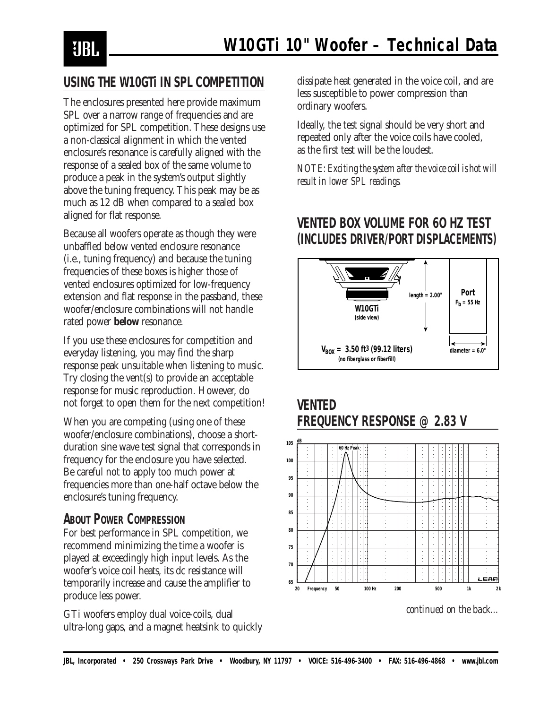

### **USING THE W10GTi IN SPL COMPETITION**

The enclosures presented here provide maximum SPL over a narrow range of frequencies and are optimized for SPL competition. These designs use a non-classical alignment in which the vented enclosure's resonance is carefully aligned with the response of a sealed box of the same volume to produce a peak in the system's output slightly above the tuning frequency. This peak may be as much as 12 dB when compared to a sealed box aligned for flat response.

Because all woofers operate as though they were unbaffled below vented enclosure resonance (i.e., tuning frequency) and because the tuning frequencies of these boxes is higher those of vented enclosures optimized for low-frequency extension and flat response in the passband, these woofer/enclosure combinations will not handle rated power **below** resonance.

If you use these enclosures for competition *and* everyday listening, you may find the sharp response peak unsuitable when listening to music. Try closing the vent(s) to provide an acceptable response for music reproduction. However, do not forget to open them for the next competition!

When you are competing (using one of these woofer/enclosure combinations), choose a shortduration sine wave test signal that corresponds in frequency for the enclosure you have selected. Be careful not to apply too much power at frequencies more than one-half octave below the enclosure's tuning frequency.

#### **ABOUT POWER COMPRESSION**

For best performance in SPL competition, we recommend minimizing the time a woofer is played at exceedingly high input levels. As the woofer's voice coil heats, its dc resistance will temporarily increase and cause the amplifier to produce less power.

GTi woofers employ dual voice-coils, dual ultra-long gaps, and a magnet heatsink to quickly

dissipate heat generated in the voice coil, and are less susceptible to power compression than ordinary woofers.

Ideally, the test signal should be very short and repeated only after the voice coils have cooled, as the first test will be the loudest.

*NOTE: Exciting the system after the voice coil is hot will result in lower SPL readings.*

## **VENTED BOX VOLUME FOR 6O HZ TEST (INCLUDES DRIVER/PORT DISPLACEMENTS)**





**VENTED**

**dB 105**



*continued on the back...*